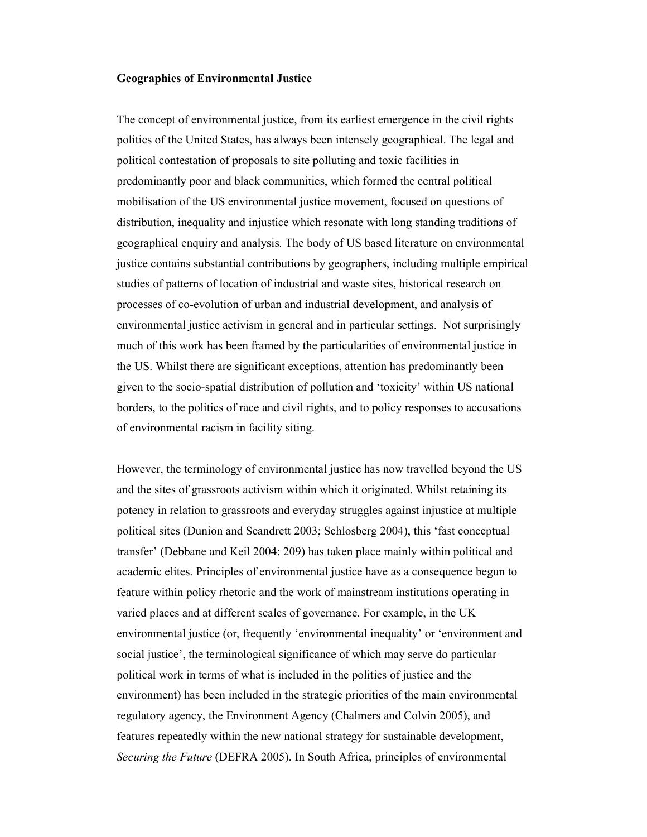#### Geographies of Environmental Justice

The concept of environmental justice, from its earliest emergence in the civil rights politics of the United States, has always been intensely geographical. The legal and political contestation of proposals to site polluting and toxic facilities in predominantly poor and black communities, which formed the central political mobilisation of the US environmental justice movement, focused on questions of distribution, inequality and injustice which resonate with long standing traditions of geographical enquiry and analysis. The body of US based literature on environmental justice contains substantial contributions by geographers, including multiple empirical studies of patterns of location of industrial and waste sites, historical research on processes of co-evolution of urban and industrial development, and analysis of environmental justice activism in general and in particular settings. Not surprisingly much of this work has been framed by the particularities of environmental justice in the US. Whilst there are significant exceptions, attention has predominantly been given to the socio-spatial distribution of pollution and 'toxicity' within US national borders, to the politics of race and civil rights, and to policy responses to accusations of environmental racism in facility siting.

However, the terminology of environmental justice has now travelled beyond the US and the sites of grassroots activism within which it originated. Whilst retaining its potency in relation to grassroots and everyday struggles against injustice at multiple political sites (Dunion and Scandrett 2003; Schlosberg 2004), this 'fast conceptual transfer' (Debbane and Keil 2004: 209) has taken place mainly within political and academic elites. Principles of environmental justice have as a consequence begun to feature within policy rhetoric and the work of mainstream institutions operating in varied places and at different scales of governance. For example, in the UK environmental justice (or, frequently 'environmental inequality' or 'environment and social justice', the terminological significance of which may serve do particular political work in terms of what is included in the politics of justice and the environment) has been included in the strategic priorities of the main environmental regulatory agency, the Environment Agency (Chalmers and Colvin 2005), and features repeatedly within the new national strategy for sustainable development, Securing the Future (DEFRA 2005). In South Africa, principles of environmental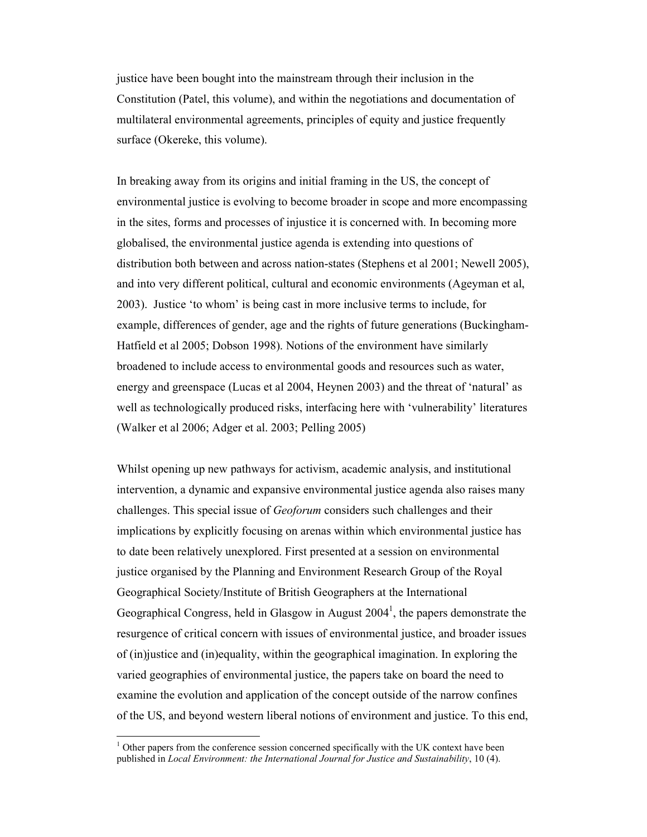justice have been bought into the mainstream through their inclusion in the Constitution (Patel, this volume), and within the negotiations and documentation of multilateral environmental agreements, principles of equity and justice frequently surface (Okereke, this volume).

In breaking away from its origins and initial framing in the US, the concept of environmental justice is evolving to become broader in scope and more encompassing in the sites, forms and processes of injustice it is concerned with. In becoming more globalised, the environmental justice agenda is extending into questions of distribution both between and across nation-states (Stephens et al 2001; Newell 2005), and into very different political, cultural and economic environments (Ageyman et al, 2003). Justice 'to whom' is being cast in more inclusive terms to include, for example, differences of gender, age and the rights of future generations (Buckingham-Hatfield et al 2005; Dobson 1998). Notions of the environment have similarly broadened to include access to environmental goods and resources such as water, energy and greenspace (Lucas et al 2004, Heynen 2003) and the threat of 'natural' as well as technologically produced risks, interfacing here with 'vulnerability' literatures (Walker et al 2006; Adger et al. 2003; Pelling 2005)

Whilst opening up new pathways for activism, academic analysis, and institutional intervention, a dynamic and expansive environmental justice agenda also raises many challenges. This special issue of Geoforum considers such challenges and their implications by explicitly focusing on arenas within which environmental justice has to date been relatively unexplored. First presented at a session on environmental justice organised by the Planning and Environment Research Group of the Royal Geographical Society/Institute of British Geographers at the International Geographical Congress, held in Glasgow in August  $2004<sup>1</sup>$ , the papers demonstrate the resurgence of critical concern with issues of environmental justice, and broader issues of (in)justice and (in)equality, within the geographical imagination. In exploring the varied geographies of environmental justice, the papers take on board the need to examine the evolution and application of the concept outside of the narrow confines of the US, and beyond western liberal notions of environment and justice. To this end,

-

<sup>&</sup>lt;sup>1</sup> Other papers from the conference session concerned specifically with the UK context have been published in Local Environment: the International Journal for Justice and Sustainability, 10 (4).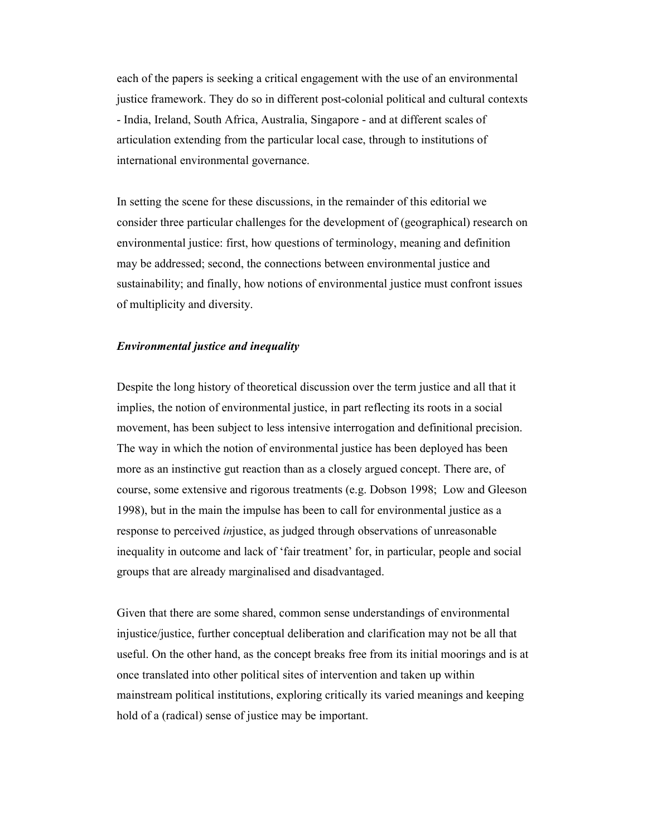each of the papers is seeking a critical engagement with the use of an environmental justice framework. They do so in different post-colonial political and cultural contexts - India, Ireland, South Africa, Australia, Singapore - and at different scales of articulation extending from the particular local case, through to institutions of international environmental governance.

In setting the scene for these discussions, in the remainder of this editorial we consider three particular challenges for the development of (geographical) research on environmental justice: first, how questions of terminology, meaning and definition may be addressed; second, the connections between environmental justice and sustainability; and finally, how notions of environmental justice must confront issues of multiplicity and diversity.

### Environmental justice and inequality

Despite the long history of theoretical discussion over the term justice and all that it implies, the notion of environmental justice, in part reflecting its roots in a social movement, has been subject to less intensive interrogation and definitional precision. The way in which the notion of environmental justice has been deployed has been more as an instinctive gut reaction than as a closely argued concept. There are, of course, some extensive and rigorous treatments (e.g. Dobson 1998; Low and Gleeson 1998), but in the main the impulse has been to call for environmental justice as a response to perceived injustice, as judged through observations of unreasonable inequality in outcome and lack of 'fair treatment' for, in particular, people and social groups that are already marginalised and disadvantaged.

Given that there are some shared, common sense understandings of environmental injustice/justice, further conceptual deliberation and clarification may not be all that useful. On the other hand, as the concept breaks free from its initial moorings and is at once translated into other political sites of intervention and taken up within mainstream political institutions, exploring critically its varied meanings and keeping hold of a (radical) sense of justice may be important.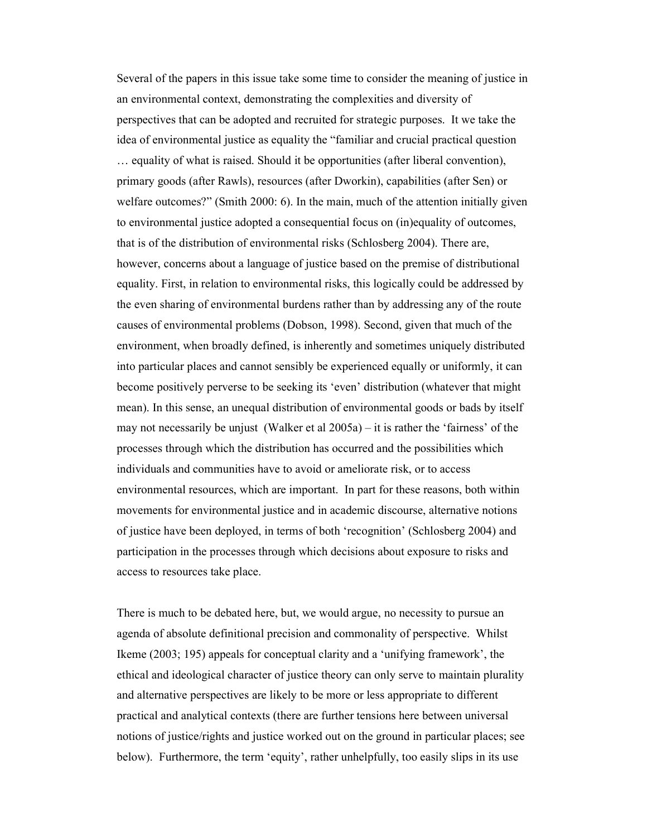Several of the papers in this issue take some time to consider the meaning of justice in an environmental context, demonstrating the complexities and diversity of perspectives that can be adopted and recruited for strategic purposes. It we take the idea of environmental justice as equality the "familiar and crucial practical question … equality of what is raised. Should it be opportunities (after liberal convention), primary goods (after Rawls), resources (after Dworkin), capabilities (after Sen) or welfare outcomes?" (Smith 2000: 6). In the main, much of the attention initially given to environmental justice adopted a consequential focus on (in)equality of outcomes, that is of the distribution of environmental risks (Schlosberg 2004). There are, however, concerns about a language of justice based on the premise of distributional equality. First, in relation to environmental risks, this logically could be addressed by the even sharing of environmental burdens rather than by addressing any of the route causes of environmental problems (Dobson, 1998). Second, given that much of the environment, when broadly defined, is inherently and sometimes uniquely distributed into particular places and cannot sensibly be experienced equally or uniformly, it can become positively perverse to be seeking its 'even' distribution (whatever that might mean). In this sense, an unequal distribution of environmental goods or bads by itself may not necessarily be unjust (Walker et al 2005a) – it is rather the 'fairness' of the processes through which the distribution has occurred and the possibilities which individuals and communities have to avoid or ameliorate risk, or to access environmental resources, which are important. In part for these reasons, both within movements for environmental justice and in academic discourse, alternative notions of justice have been deployed, in terms of both 'recognition' (Schlosberg 2004) and participation in the processes through which decisions about exposure to risks and access to resources take place.

There is much to be debated here, but, we would argue, no necessity to pursue an agenda of absolute definitional precision and commonality of perspective. Whilst Ikeme (2003; 195) appeals for conceptual clarity and a 'unifying framework', the ethical and ideological character of justice theory can only serve to maintain plurality and alternative perspectives are likely to be more or less appropriate to different practical and analytical contexts (there are further tensions here between universal notions of justice/rights and justice worked out on the ground in particular places; see below). Furthermore, the term 'equity', rather unhelpfully, too easily slips in its use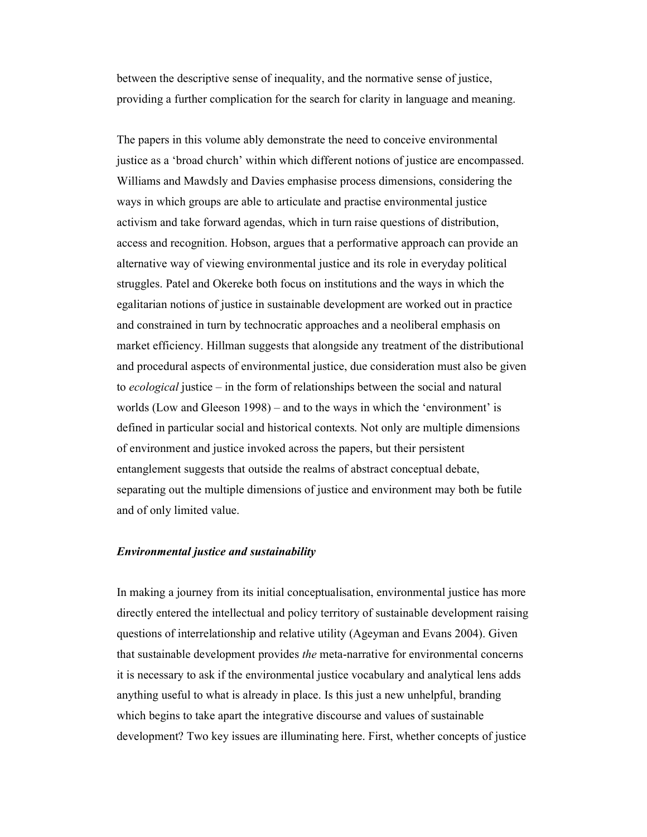between the descriptive sense of inequality, and the normative sense of justice, providing a further complication for the search for clarity in language and meaning.

The papers in this volume ably demonstrate the need to conceive environmental justice as a 'broad church' within which different notions of justice are encompassed. Williams and Mawdsly and Davies emphasise process dimensions, considering the ways in which groups are able to articulate and practise environmental justice activism and take forward agendas, which in turn raise questions of distribution, access and recognition. Hobson, argues that a performative approach can provide an alternative way of viewing environmental justice and its role in everyday political struggles. Patel and Okereke both focus on institutions and the ways in which the egalitarian notions of justice in sustainable development are worked out in practice and constrained in turn by technocratic approaches and a neoliberal emphasis on market efficiency. Hillman suggests that alongside any treatment of the distributional and procedural aspects of environmental justice, due consideration must also be given to ecological justice – in the form of relationships between the social and natural worlds (Low and Gleeson 1998) – and to the ways in which the 'environment' is defined in particular social and historical contexts. Not only are multiple dimensions of environment and justice invoked across the papers, but their persistent entanglement suggests that outside the realms of abstract conceptual debate, separating out the multiple dimensions of justice and environment may both be futile and of only limited value.

## Environmental justice and sustainability

In making a journey from its initial conceptualisation, environmental justice has more directly entered the intellectual and policy territory of sustainable development raising questions of interrelationship and relative utility (Ageyman and Evans 2004). Given that sustainable development provides the meta-narrative for environmental concerns it is necessary to ask if the environmental justice vocabulary and analytical lens adds anything useful to what is already in place. Is this just a new unhelpful, branding which begins to take apart the integrative discourse and values of sustainable development? Two key issues are illuminating here. First, whether concepts of justice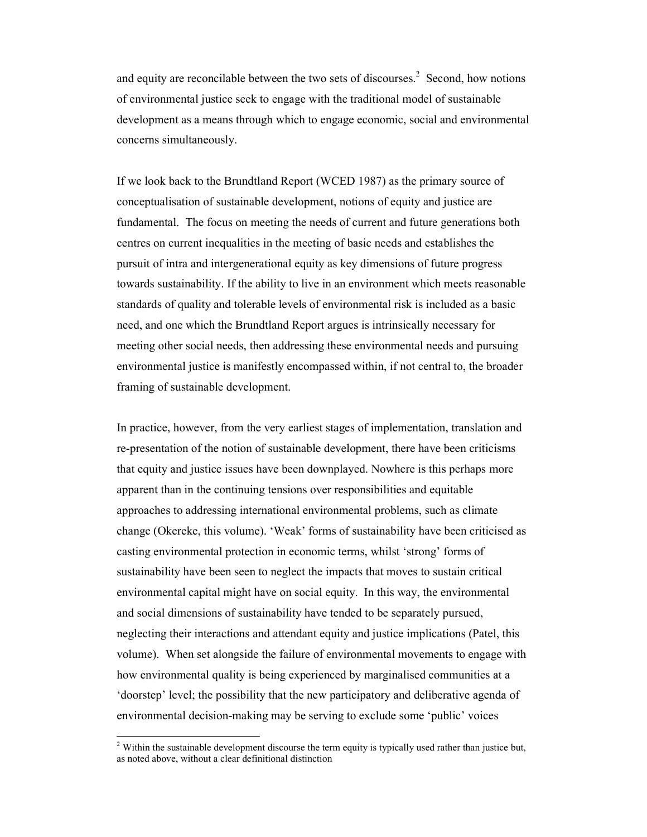and equity are reconcilable between the two sets of discourses.<sup>2</sup> Second, how notions of environmental justice seek to engage with the traditional model of sustainable development as a means through which to engage economic, social and environmental concerns simultaneously.

If we look back to the Brundtland Report (WCED 1987) as the primary source of conceptualisation of sustainable development, notions of equity and justice are fundamental. The focus on meeting the needs of current and future generations both centres on current inequalities in the meeting of basic needs and establishes the pursuit of intra and intergenerational equity as key dimensions of future progress towards sustainability. If the ability to live in an environment which meets reasonable standards of quality and tolerable levels of environmental risk is included as a basic need, and one which the Brundtland Report argues is intrinsically necessary for meeting other social needs, then addressing these environmental needs and pursuing environmental justice is manifestly encompassed within, if not central to, the broader framing of sustainable development.

In practice, however, from the very earliest stages of implementation, translation and re-presentation of the notion of sustainable development, there have been criticisms that equity and justice issues have been downplayed. Nowhere is this perhaps more apparent than in the continuing tensions over responsibilities and equitable approaches to addressing international environmental problems, such as climate change (Okereke, this volume). 'Weak' forms of sustainability have been criticised as casting environmental protection in economic terms, whilst 'strong' forms of sustainability have been seen to neglect the impacts that moves to sustain critical environmental capital might have on social equity. In this way, the environmental and social dimensions of sustainability have tended to be separately pursued, neglecting their interactions and attendant equity and justice implications (Patel, this volume). When set alongside the failure of environmental movements to engage with how environmental quality is being experienced by marginalised communities at a 'doorstep' level; the possibility that the new participatory and deliberative agenda of environmental decision-making may be serving to exclude some 'public' voices

<sup>&</sup>lt;sup>2</sup> Within the sustainable development discourse the term equity is typically used rather than justice but, as noted above, without a clear definitional distinction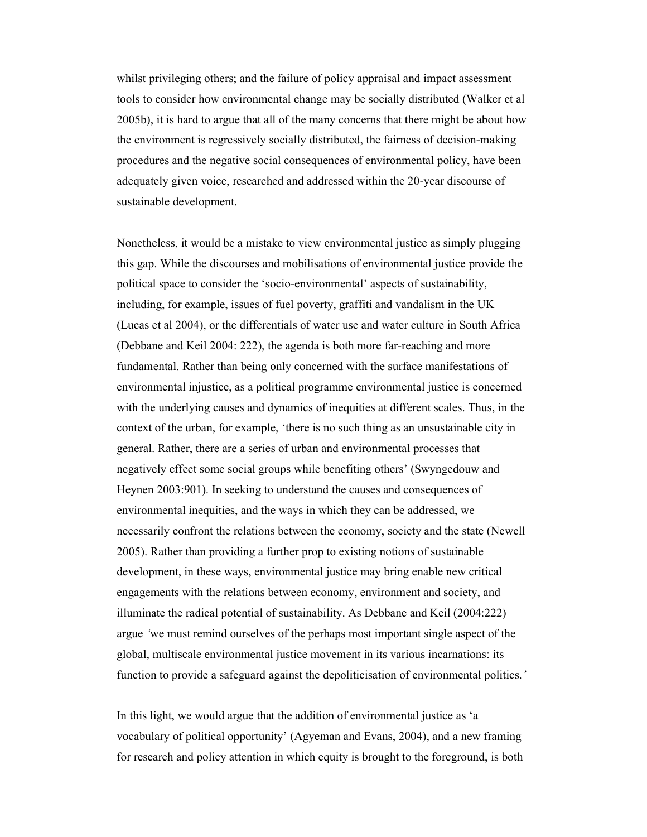whilst privileging others; and the failure of policy appraisal and impact assessment tools to consider how environmental change may be socially distributed (Walker et al 2005b), it is hard to argue that all of the many concerns that there might be about how the environment is regressively socially distributed, the fairness of decision-making procedures and the negative social consequences of environmental policy, have been adequately given voice, researched and addressed within the 20-year discourse of sustainable development.

Nonetheless, it would be a mistake to view environmental justice as simply plugging this gap. While the discourses and mobilisations of environmental justice provide the political space to consider the 'socio-environmental' aspects of sustainability, including, for example, issues of fuel poverty, graffiti and vandalism in the UK (Lucas et al 2004), or the differentials of water use and water culture in South Africa (Debbane and Keil 2004: 222), the agenda is both more far-reaching and more fundamental. Rather than being only concerned with the surface manifestations of environmental injustice, as a political programme environmental justice is concerned with the underlying causes and dynamics of inequities at different scales. Thus, in the context of the urban, for example, 'there is no such thing as an unsustainable city in general. Rather, there are a series of urban and environmental processes that negatively effect some social groups while benefiting others' (Swyngedouw and Heynen 2003:901). In seeking to understand the causes and consequences of environmental inequities, and the ways in which they can be addressed, we necessarily confront the relations between the economy, society and the state (Newell 2005). Rather than providing a further prop to existing notions of sustainable development, in these ways, environmental justice may bring enable new critical engagements with the relations between economy, environment and society, and illuminate the radical potential of sustainability. As Debbane and Keil (2004:222) argue 'we must remind ourselves of the perhaps most important single aspect of the global, multiscale environmental justice movement in its various incarnations: its function to provide a safeguard against the depoliticisation of environmental politics.'

In this light, we would argue that the addition of environmental justice as 'a vocabulary of political opportunity' (Agyeman and Evans, 2004), and a new framing for research and policy attention in which equity is brought to the foreground, is both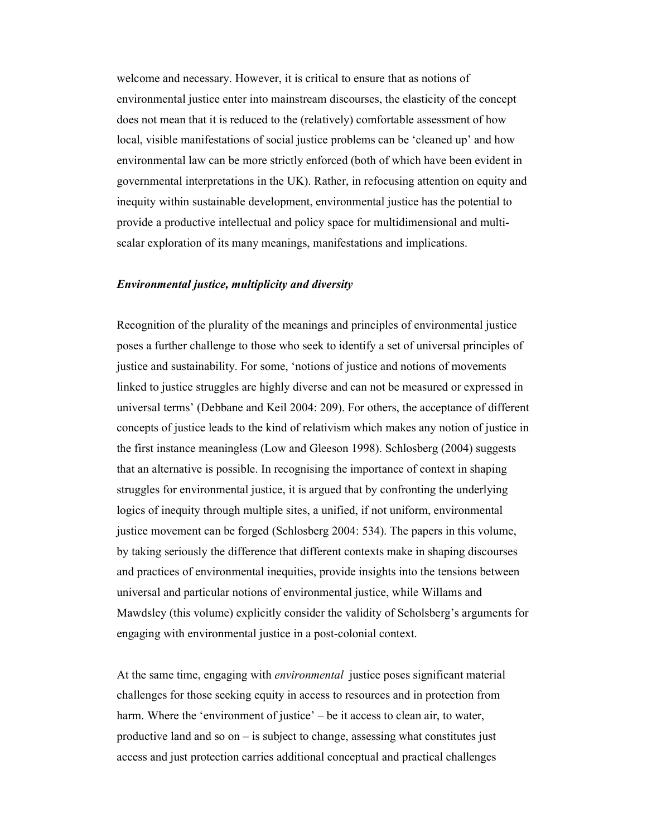welcome and necessary. However, it is critical to ensure that as notions of environmental justice enter into mainstream discourses, the elasticity of the concept does not mean that it is reduced to the (relatively) comfortable assessment of how local, visible manifestations of social justice problems can be 'cleaned up' and how environmental law can be more strictly enforced (both of which have been evident in governmental interpretations in the UK). Rather, in refocusing attention on equity and inequity within sustainable development, environmental justice has the potential to provide a productive intellectual and policy space for multidimensional and multiscalar exploration of its many meanings, manifestations and implications.

### Environmental justice, multiplicity and diversity

Recognition of the plurality of the meanings and principles of environmental justice poses a further challenge to those who seek to identify a set of universal principles of justice and sustainability. For some, 'notions of justice and notions of movements linked to justice struggles are highly diverse and can not be measured or expressed in universal terms' (Debbane and Keil 2004: 209). For others, the acceptance of different concepts of justice leads to the kind of relativism which makes any notion of justice in the first instance meaningless (Low and Gleeson 1998). Schlosberg (2004) suggests that an alternative is possible. In recognising the importance of context in shaping struggles for environmental justice, it is argued that by confronting the underlying logics of inequity through multiple sites, a unified, if not uniform, environmental justice movement can be forged (Schlosberg 2004: 534). The papers in this volume, by taking seriously the difference that different contexts make in shaping discourses and practices of environmental inequities, provide insights into the tensions between universal and particular notions of environmental justice, while Willams and Mawdsley (this volume) explicitly consider the validity of Scholsberg's arguments for engaging with environmental justice in a post-colonial context.

At the same time, engaging with *environmental* justice poses significant material challenges for those seeking equity in access to resources and in protection from harm. Where the 'environment of justice' – be it access to clean air, to water, productive land and so on – is subject to change, assessing what constitutes just access and just protection carries additional conceptual and practical challenges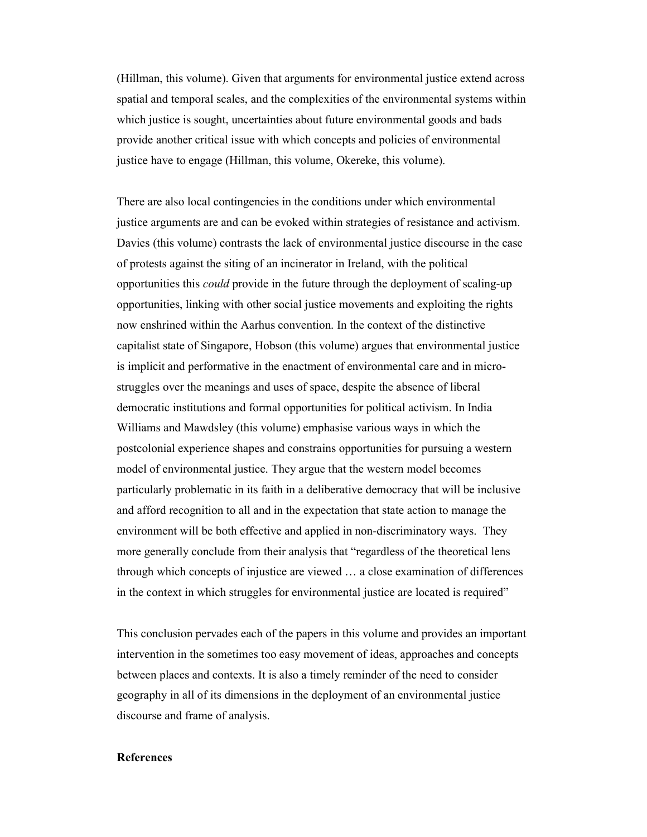(Hillman, this volume). Given that arguments for environmental justice extend across spatial and temporal scales, and the complexities of the environmental systems within which justice is sought, uncertainties about future environmental goods and bads provide another critical issue with which concepts and policies of environmental justice have to engage (Hillman, this volume, Okereke, this volume).

There are also local contingencies in the conditions under which environmental justice arguments are and can be evoked within strategies of resistance and activism. Davies (this volume) contrasts the lack of environmental justice discourse in the case of protests against the siting of an incinerator in Ireland, with the political opportunities this could provide in the future through the deployment of scaling-up opportunities, linking with other social justice movements and exploiting the rights now enshrined within the Aarhus convention. In the context of the distinctive capitalist state of Singapore, Hobson (this volume) argues that environmental justice is implicit and performative in the enactment of environmental care and in microstruggles over the meanings and uses of space, despite the absence of liberal democratic institutions and formal opportunities for political activism. In India Williams and Mawdsley (this volume) emphasise various ways in which the postcolonial experience shapes and constrains opportunities for pursuing a western model of environmental justice. They argue that the western model becomes particularly problematic in its faith in a deliberative democracy that will be inclusive and afford recognition to all and in the expectation that state action to manage the environment will be both effective and applied in non-discriminatory ways. They more generally conclude from their analysis that "regardless of the theoretical lens through which concepts of injustice are viewed … a close examination of differences in the context in which struggles for environmental justice are located is required"

This conclusion pervades each of the papers in this volume and provides an important intervention in the sometimes too easy movement of ideas, approaches and concepts between places and contexts. It is also a timely reminder of the need to consider geography in all of its dimensions in the deployment of an environmental justice discourse and frame of analysis.

# References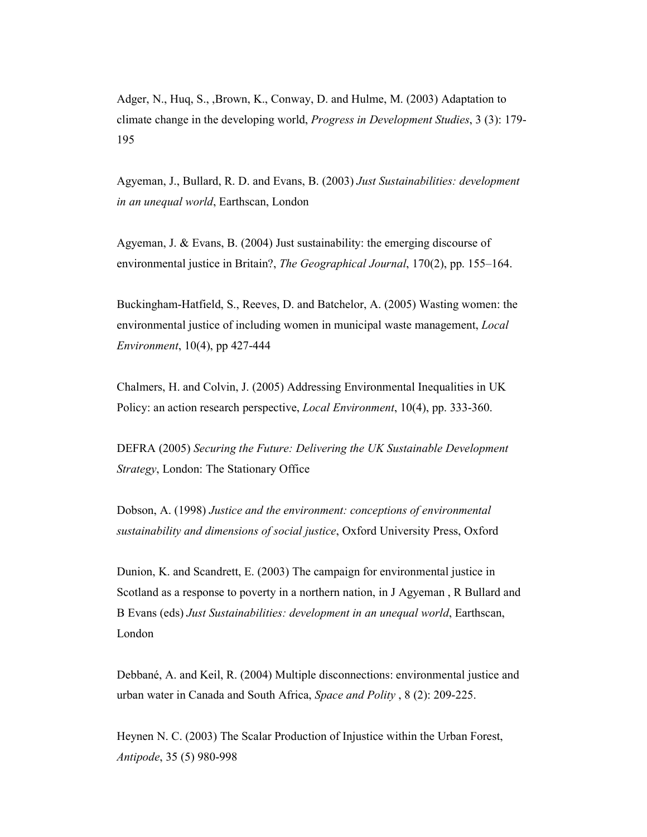Adger, N., Huq, S., ,Brown, K., Conway, D. and Hulme, M. (2003) Adaptation to climate change in the developing world, Progress in Development Studies, 3 (3): 179- 195

Agyeman, J., Bullard, R. D. and Evans, B. (2003) Just Sustainabilities: development in an unequal world, Earthscan, London

Agyeman, J. & Evans, B. (2004) Just sustainability: the emerging discourse of environmental justice in Britain?, *The Geographical Journal*, 170(2), pp. 155–164.

Buckingham-Hatfield, S., Reeves, D. and Batchelor, A. (2005) Wasting women: the environmental justice of including women in municipal waste management, Local Environment, 10(4), pp 427-444

Chalmers, H. and Colvin, J. (2005) Addressing Environmental Inequalities in UK Policy: an action research perspective, Local Environment, 10(4), pp. 333-360.

DEFRA (2005) Securing the Future: Delivering the UK Sustainable Development Strategy, London: The Stationary Office

Dobson, A. (1998) Justice and the environment: conceptions of environmental sustainability and dimensions of social justice, Oxford University Press, Oxford

Dunion, K. and Scandrett, E. (2003) The campaign for environmental justice in Scotland as a response to poverty in a northern nation, in J Agyeman , R Bullard and B Evans (eds) Just Sustainabilities: development in an unequal world, Earthscan, London

Debbané, A. and Keil, R. (2004) Multiple disconnections: environmental justice and urban water in Canada and South Africa, Space and Polity , 8 (2): 209-225.

Heynen N. C. (2003) The Scalar Production of Injustice within the Urban Forest, Antipode, 35 (5) 980-998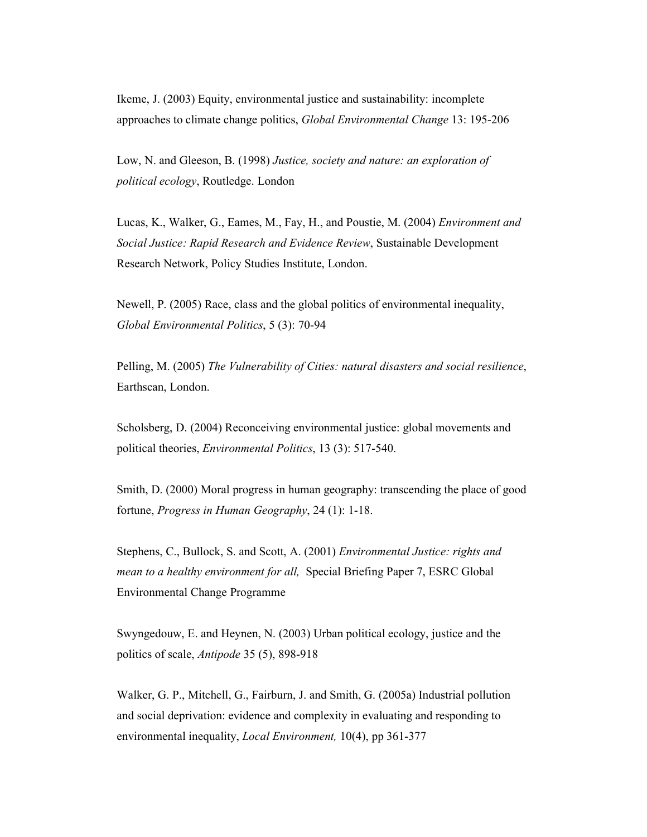Ikeme, J. (2003) Equity, environmental justice and sustainability: incomplete approaches to climate change politics, Global Environmental Change 13: 195-206

Low, N. and Gleeson, B. (1998) Justice, society and nature: an exploration of political ecology, Routledge. London

Lucas, K., Walker, G., Eames, M., Fay, H., and Poustie, M. (2004) Environment and Social Justice: Rapid Research and Evidence Review, Sustainable Development Research Network, Policy Studies Institute, London.

Newell, P. (2005) Race, class and the global politics of environmental inequality, Global Environmental Politics, 5 (3): 70-94

Pelling, M. (2005) The Vulnerability of Cities: natural disasters and social resilience, Earthscan, London.

Scholsberg, D. (2004) Reconceiving environmental justice: global movements and political theories, Environmental Politics, 13 (3): 517-540.

Smith, D. (2000) Moral progress in human geography: transcending the place of good fortune, Progress in Human Geography, 24 (1): 1-18.

Stephens, C., Bullock, S. and Scott, A. (2001) Environmental Justice: rights and mean to a healthy environment for all. Special Briefing Paper 7, ESRC Global Environmental Change Programme

Swyngedouw, E. and Heynen, N. (2003) Urban political ecology, justice and the politics of scale, Antipode 35 (5), 898-918

Walker, G. P., Mitchell, G., Fairburn, J. and Smith, G. (2005a) Industrial pollution and social deprivation: evidence and complexity in evaluating and responding to environmental inequality, *Local Environment*, 10(4), pp 361-377